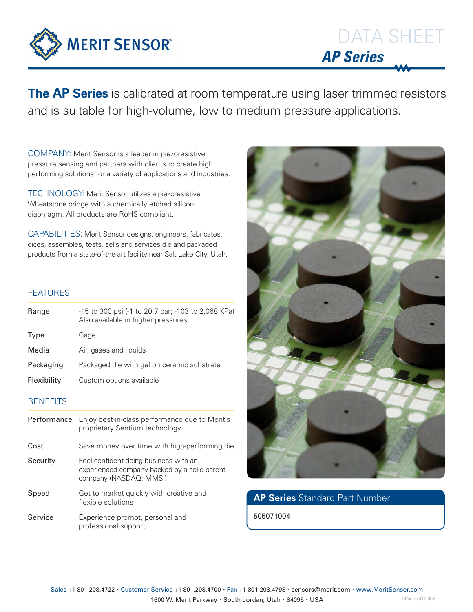

DATA SHEET **AP Series**

**The AP Series** is calibrated at room temperature using laser trimmed resistors and is suitable for high-volume, low to medium pressure applications.

COMPANY: Merit Sensor is a leader in piezoresistive pressure sensing and partners with clients to create high performing solutions for a variety of applications and industries.

TECHNOLOGY: Merit Sensor utilizes a piezoresistive Wheatstone bridge with a chemically etched silicon diaphragm. All products are RoHS compliant.

CAPABILITIES: Merit Sensor designs, engineers, fabricates, dices, assembles, tests, sells and services die and packaged products from a state-of-the-art facility near Salt Lake City, Utah.

## FEATURES

| Range           | -15 to 300 psi (-1 to 20.7 bar; -103 to 2,068 KPa)<br>Also available in higher pressures                        |  |  |  |  |
|-----------------|-----------------------------------------------------------------------------------------------------------------|--|--|--|--|
| Type            | Gage                                                                                                            |  |  |  |  |
| Media           | Air, gases and liquids                                                                                          |  |  |  |  |
| Packaging       | Packaged die with gel on ceramic substrate                                                                      |  |  |  |  |
| Flexibility     | Custom options available                                                                                        |  |  |  |  |
| <b>BENEFITS</b> |                                                                                                                 |  |  |  |  |
| Performance     | Enjoy best-in-class performance due to Merit's<br>proprietary Sentium technology.                               |  |  |  |  |
| Cost            | Save money over time with high-performing die                                                                   |  |  |  |  |
| Security        | Feel confident doing business with an<br>experienced company backed by a solid parent<br>company (NASDAQ: MMSI) |  |  |  |  |

- Speed Get to market quickly with creative and flexible solutions
- Service Experience prompt, personal and professional support



# **AP Series** Standard Part Number

505071004